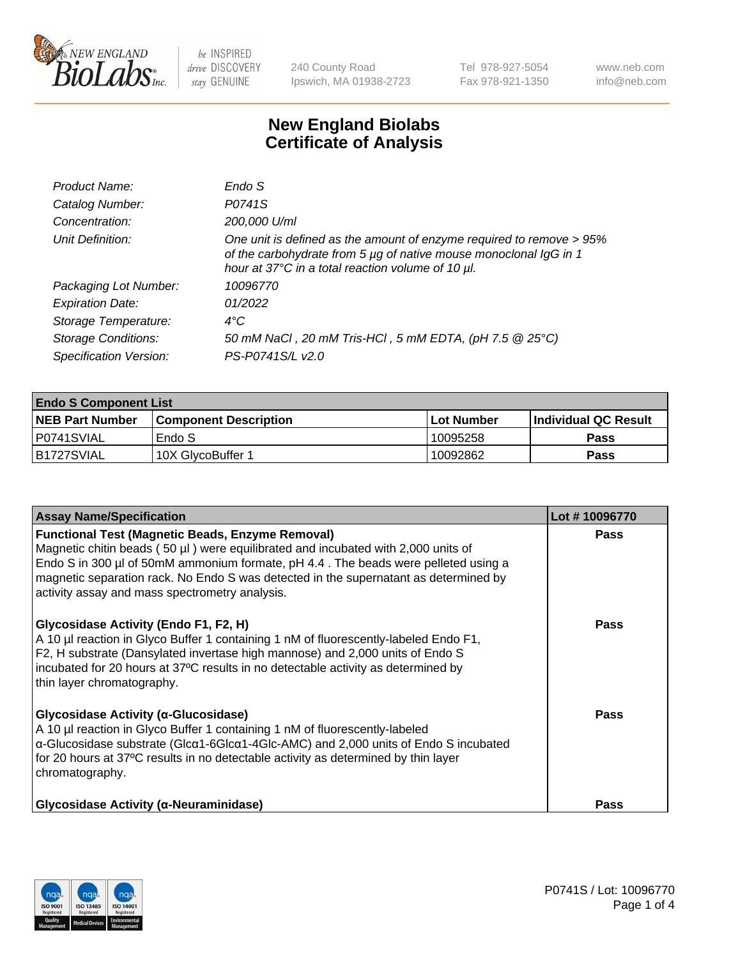

240 County Road Ipswich, MA 01938-2723 Tel 978-927-5054 Fax 978-921-1350 www.neb.com info@neb.com

## **New England Biolabs Certificate of Analysis**

| Endo S                                                                                                                                                                                         |
|------------------------------------------------------------------------------------------------------------------------------------------------------------------------------------------------|
| P0741S                                                                                                                                                                                         |
| 200,000 U/ml                                                                                                                                                                                   |
| One unit is defined as the amount of enzyme required to remove > 95%<br>of the carbohydrate from 5 µg of native mouse monoclonal IgG in 1<br>hour at 37°C in a total reaction volume of 10 µl. |
| 10096770                                                                                                                                                                                       |
| 01/2022                                                                                                                                                                                        |
| $4^{\circ}$ C                                                                                                                                                                                  |
| 50 mM NaCl, 20 mM Tris-HCl, 5 mM EDTA, (pH 7.5 @ 25°C)                                                                                                                                         |
| PS-P0741S/L v2.0                                                                                                                                                                               |
|                                                                                                                                                                                                |

| <b>Endo S Component List</b> |                         |              |                             |  |  |
|------------------------------|-------------------------|--------------|-----------------------------|--|--|
| <b>NEB Part Number</b>       | l Component Description | l Lot Number | <b>Individual QC Result</b> |  |  |
| P0741SVIAL                   | Endo S                  | 10095258     | <b>Pass</b>                 |  |  |
| IB1727SVIAL                  | 10X GlycoBuffer 1       | 10092862     | <b>Pass</b>                 |  |  |

| <b>Assay Name/Specification</b>                                                                                                                                                                                                                                                                                                                                                   | Lot #10096770 |
|-----------------------------------------------------------------------------------------------------------------------------------------------------------------------------------------------------------------------------------------------------------------------------------------------------------------------------------------------------------------------------------|---------------|
| <b>Functional Test (Magnetic Beads, Enzyme Removal)</b><br>Magnetic chitin beads (50 $\mu$ I) were equilibrated and incubated with 2,000 units of<br>Endo S in 300 µl of 50mM ammonium formate, pH 4.4. The beads were pelleted using a<br>magnetic separation rack. No Endo S was detected in the supernatant as determined by<br>activity assay and mass spectrometry analysis. | <b>Pass</b>   |
| Glycosidase Activity (Endo F1, F2, H)<br>A 10 µl reaction in Glyco Buffer 1 containing 1 nM of fluorescently-labeled Endo F1,<br>F2, H substrate (Dansylated invertase high mannose) and 2,000 units of Endo S<br>incubated for 20 hours at 37°C results in no detectable activity as determined by<br>thin layer chromatography.                                                 | <b>Pass</b>   |
| Glycosidase Activity (α-Glucosidase)<br>A 10 µl reaction in Glyco Buffer 1 containing 1 nM of fluorescently-labeled<br>$\alpha$ -Glucosidase substrate (Glc $\alpha$ 1-6Glc $\alpha$ 1-4Glc-AMC) and 2,000 units of Endo S incubated<br>for 20 hours at 37°C results in no detectable activity as determined by thin layer<br>chromatography.                                     | Pass          |
| <b>Glycosidase Activity (α-Neuraminidase)</b>                                                                                                                                                                                                                                                                                                                                     | <b>Pass</b>   |

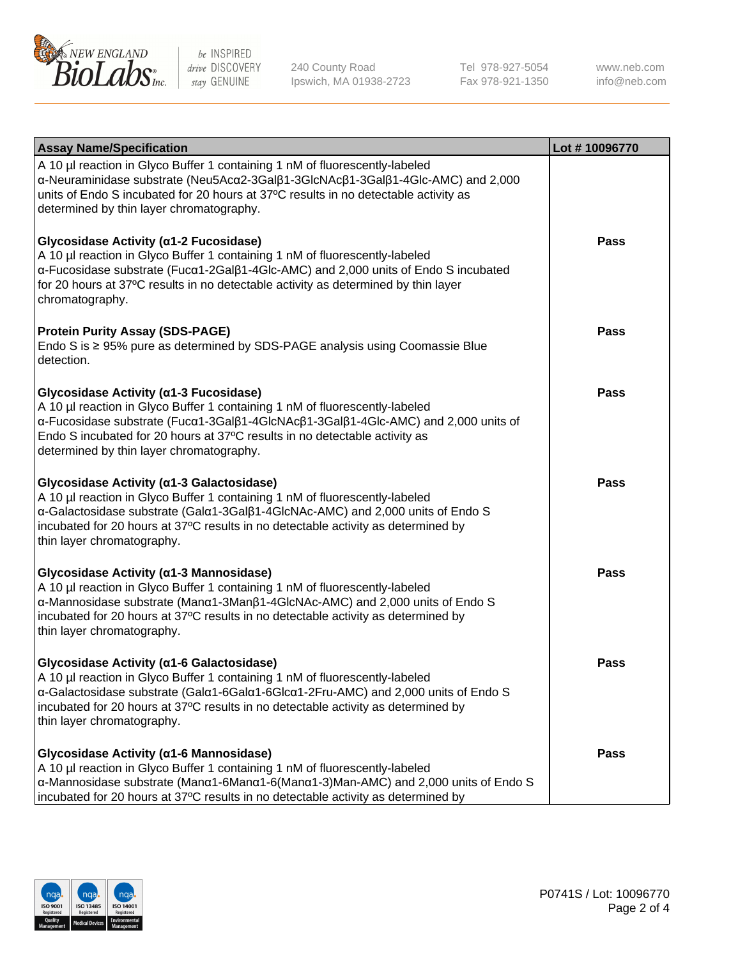

240 County Road Ipswich, MA 01938-2723 Tel 978-927-5054 Fax 978-921-1350

www.neb.com info@neb.com

| <b>Assay Name/Specification</b>                                                                                                                                                                                                                                                                                                       | Lot #10096770 |
|---------------------------------------------------------------------------------------------------------------------------------------------------------------------------------------------------------------------------------------------------------------------------------------------------------------------------------------|---------------|
| A 10 µl reaction in Glyco Buffer 1 containing 1 nM of fluorescently-labeled<br>α-Neuraminidase substrate (Neu5Acα2-3Galβ1-3GlcNAcβ1-3Galβ1-4Glc-AMC) and 2,000<br>units of Endo S incubated for 20 hours at 37°C results in no detectable activity as<br>determined by thin layer chromatography.                                     |               |
| Glycosidase Activity (α1-2 Fucosidase)<br>A 10 µl reaction in Glyco Buffer 1 containing 1 nM of fluorescently-labeled<br>α-Fucosidase substrate (Fucα1-2Galβ1-4Glc-AMC) and 2,000 units of Endo S incubated<br>for 20 hours at 37°C results in no detectable activity as determined by thin layer<br>chromatography.                  | <b>Pass</b>   |
| <b>Protein Purity Assay (SDS-PAGE)</b><br>Endo S is ≥ 95% pure as determined by SDS-PAGE analysis using Coomassie Blue<br>detection.                                                                                                                                                                                                  | <b>Pass</b>   |
| Glycosidase Activity (a1-3 Fucosidase)<br>A 10 µl reaction in Glyco Buffer 1 containing 1 nM of fluorescently-labeled<br>α-Fucosidase substrate (Fucα1-3Galβ1-4GlcNAcβ1-3Galβ1-4Glc-AMC) and 2,000 units of<br>Endo S incubated for 20 hours at 37°C results in no detectable activity as<br>determined by thin layer chromatography. | <b>Pass</b>   |
| Glycosidase Activity (a1-3 Galactosidase)<br>A 10 µl reaction in Glyco Buffer 1 containing 1 nM of fluorescently-labeled<br>a-Galactosidase substrate (Gala1-3Galß1-4GlcNAc-AMC) and 2,000 units of Endo S<br>incubated for 20 hours at 37°C results in no detectable activity as determined by<br>thin layer chromatography.         | <b>Pass</b>   |
| Glycosidase Activity (α1-3 Mannosidase)<br>A 10 µl reaction in Glyco Buffer 1 containing 1 nM of fluorescently-labeled<br>α-Mannosidase substrate (Manα1-3Manβ1-4GlcNAc-AMC) and 2,000 units of Endo S<br>incubated for 20 hours at 37°C results in no detectable activity as determined by<br>thin layer chromatography.             | <b>Pass</b>   |
| Glycosidase Activity (a1-6 Galactosidase)<br>A 10 µl reaction in Glyco Buffer 1 containing 1 nM of fluorescently-labeled<br>α-Galactosidase substrate (Galα1-6Galα1-6Glcα1-2Fru-AMC) and 2,000 units of Endo S<br>incubated for 20 hours at 37°C results in no detectable activity as determined by<br>thin layer chromatography.     | <b>Pass</b>   |
| Glycosidase Activity (α1-6 Mannosidase)<br>A 10 µl reaction in Glyco Buffer 1 containing 1 nM of fluorescently-labeled<br>α-Mannosidase substrate (Μanα1-6Μanα1-6(Μanα1-3)Man-AMC) and 2,000 units of Endo S<br>incubated for 20 hours at 37°C results in no detectable activity as determined by                                     | <b>Pass</b>   |

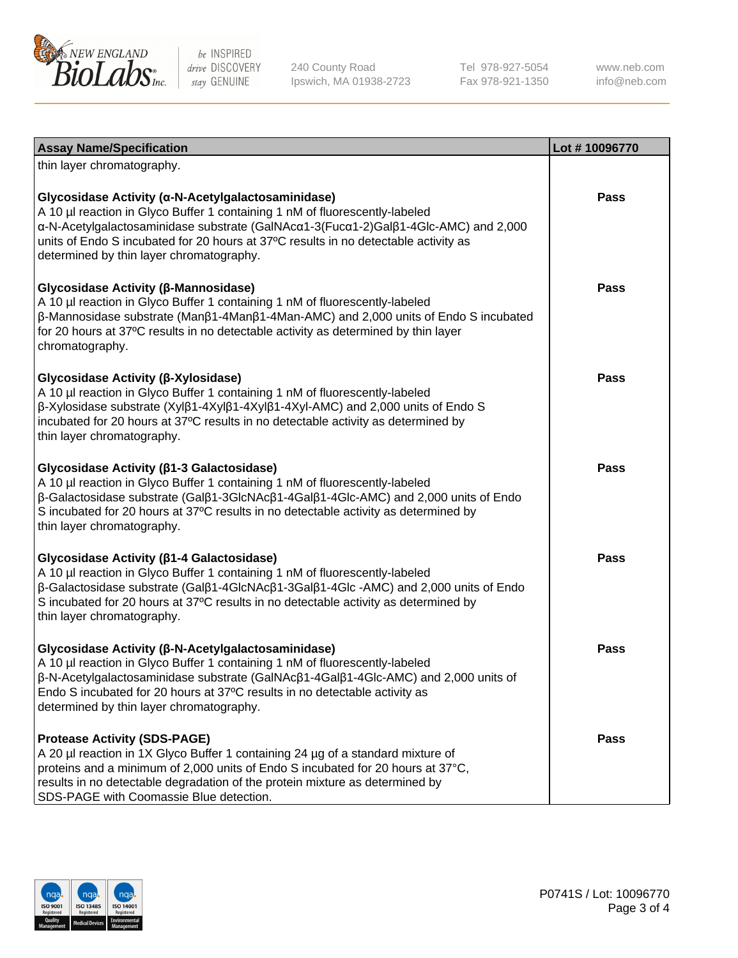

240 County Road Ipswich, MA 01938-2723 Tel 978-927-5054 Fax 978-921-1350

www.neb.com info@neb.com

| <b>Assay Name/Specification</b>                                                                                                                                                                                                                                                                                                                             | Lot #10096770 |
|-------------------------------------------------------------------------------------------------------------------------------------------------------------------------------------------------------------------------------------------------------------------------------------------------------------------------------------------------------------|---------------|
| thin layer chromatography.                                                                                                                                                                                                                                                                                                                                  |               |
| Glycosidase Activity (α-N-Acetylgalactosaminidase)<br>A 10 µl reaction in Glyco Buffer 1 containing 1 nM of fluorescently-labeled<br>α-N-Acetylgalactosaminidase substrate (GalNAcα1-3(Fucα1-2)Galβ1-4Glc-AMC) and 2,000<br>units of Endo S incubated for 20 hours at 37°C results in no detectable activity as<br>determined by thin layer chromatography. | <b>Pass</b>   |
| Glycosidase Activity (β-Mannosidase)<br>A 10 µl reaction in Glyco Buffer 1 containing 1 nM of fluorescently-labeled<br>$\beta$ -Mannosidase substrate (Man $\beta$ 1-4Man $\beta$ 1-4Man-AMC) and 2,000 units of Endo S incubated<br>for 20 hours at 37°C results in no detectable activity as determined by thin layer<br>chromatography.                  | <b>Pass</b>   |
| Glycosidase Activity (β-Xylosidase)<br>A 10 µl reaction in Glyco Buffer 1 containing 1 nM of fluorescently-labeled<br>β-Xylosidase substrate (Xylβ1-4Xylβ1-4Xylβ1-4Xyl-AMC) and 2,000 units of Endo S<br>incubated for 20 hours at 37°C results in no detectable activity as determined by<br>thin layer chromatography.                                    | <b>Pass</b>   |
| Glycosidase Activity (β1-3 Galactosidase)<br>A 10 µl reaction in Glyco Buffer 1 containing 1 nM of fluorescently-labeled<br>β-Galactosidase substrate (Galβ1-3GlcNAcβ1-4Galβ1-4Glc-AMC) and 2,000 units of Endo<br>S incubated for 20 hours at 37°C results in no detectable activity as determined by<br>thin layer chromatography.                        | <b>Pass</b>   |
| Glycosidase Activity (β1-4 Galactosidase)<br>A 10 µl reaction in Glyco Buffer 1 containing 1 nM of fluorescently-labeled<br>β-Galactosidase substrate (Galβ1-4GlcNAcβ1-3Galβ1-4Glc -AMC) and 2,000 units of Endo<br>S incubated for 20 hours at 37°C results in no detectable activity as determined by<br>thin layer chromatography.                       | <b>Pass</b>   |
| Glycosidase Activity (β-N-Acetylgalactosaminidase)<br>A 10 µl reaction in Glyco Buffer 1 containing 1 nM of fluorescently-labeled<br>β-N-Acetylgalactosaminidase substrate (GalNAcβ1-4Galβ1-4Glc-AMC) and 2,000 units of<br>Endo S incubated for 20 hours at 37°C results in no detectable activity as<br>determined by thin layer chromatography.          | Pass          |
| <b>Protease Activity (SDS-PAGE)</b><br>A 20 µl reaction in 1X Glyco Buffer 1 containing 24 µg of a standard mixture of<br>proteins and a minimum of 2,000 units of Endo S incubated for 20 hours at 37°C,<br>results in no detectable degradation of the protein mixture as determined by<br>SDS-PAGE with Coomassie Blue detection.                        | <b>Pass</b>   |